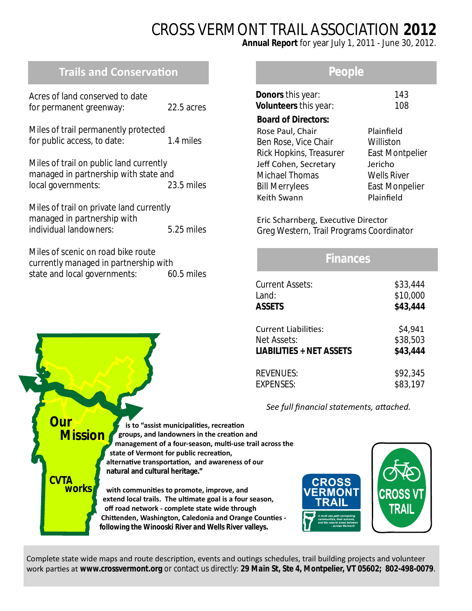# CROSS VERMONT TRAIL ASSOCIATION **2012**

**Annual Report** for year July 1, 2011 - June 30, 2012.

# **Trails and Conservation**

| Acres of land conserved to date |            |
|---------------------------------|------------|
| for permanent greenway:         | 22.5 acres |

Miles of trail permanently protected for public access, to date: 1.4 miles

Miles of trail on public land currently managed in partnership with state and local governments: 23.5 miles

Miles of trail on private land currently managed in partnership with individual landowners: 5.25 miles

Miles of scenic on road bike route currently managed in partnership with state and local governments: 60.5 miles

## **People**

| <b>Donors</b> this year:<br>Volunteers this year: | 143<br>108             |
|---------------------------------------------------|------------------------|
| <b>Board of Directors:</b>                        |                        |
| Rose Paul, Chair                                  | Plainfield             |
| Ben Rose, Vice Chair                              | Williston              |
| Rick Hopkins, Treasurer                           | <b>East Montpelier</b> |
| Jeff Cohen, Secretary                             | Jericho                |
| <b>Michael Thomas</b>                             | <b>Wells River</b>     |
| <b>Bill Merrylees</b>                             | <b>East Monpelier</b>  |
| Keith Swann                                       | Plainfield             |
|                                                   |                        |

Eric Scharnberg, Executive Director Greg Western, Trail Programs Coordinator

## **Finances**

| <b>Current Assets:</b>          | \$33,444 |
|---------------------------------|----------|
| Land:                           | \$10,000 |
| <b>ASSETS</b>                   | \$43,444 |
| <b>Current Liabilities:</b>     | \$4,941  |
| Net Assets:                     | \$38,503 |
| <b>LIABILITIES + NET ASSETS</b> | \$43,444 |
| <b>REVENUES:</b>                | \$92,345 |
| <b>EXPENSES:</b>                | \$83,197 |

See full financial statements, attached.

**is to "assist municipalities, recreation groups, and landowners in the creaƟon and management of a four-season, mulƟ-use trail across the** state of Vermont for public recreation,  **alternaƟve transportaƟon, and awareness of our natural and cultural heritage."** with communities to promote, improve, and extend local trails. The ultimate goal is a four season,  **off road network - complete state wide through Chittenden, Washington, Caledonia and Orange Counties following the Winooski River and Wells River valleys. Our Mission CVTA works**



Complete state wide maps and route description, events and outings schedules, trail building projects and volunteer work parties at *www.crossvermont.org* or contact us directly: 29 Main St, Ste 4, Montpelier, VT 05602; 802-498-0079.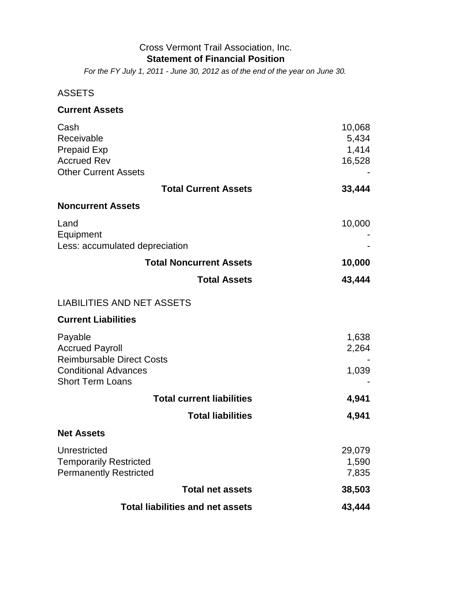#### Cross Vermont Trail Association, Inc. **Statement of Financial Position**

*For the FY July 1, 2011 - June 30, 2012 as of the end of the year on June 30.*

## ASSETS

| <b>Current Assets</b>                             |        |
|---------------------------------------------------|--------|
| Cash                                              | 10,068 |
| Receivable                                        | 5,434  |
| <b>Prepaid Exp</b>                                | 1,414  |
| <b>Accrued Rev</b><br><b>Other Current Assets</b> | 16,528 |
|                                                   |        |
| <b>Total Current Assets</b>                       | 33,444 |
| <b>Noncurrent Assets</b>                          |        |
| Land<br>Equipment                                 | 10,000 |
| Less: accumulated depreciation                    |        |
| <b>Total Noncurrent Assets</b>                    | 10,000 |
| <b>Total Assets</b>                               | 43,444 |
| <b>LIABILITIES AND NET ASSETS</b>                 |        |
| <b>Current Liabilities</b>                        |        |
| Payable                                           | 1,638  |
| <b>Accrued Payroll</b>                            | 2,264  |
| <b>Reimbursable Direct Costs</b>                  |        |
| <b>Conditional Advances</b>                       | 1,039  |
| <b>Short Term Loans</b>                           |        |
| <b>Total current liabilities</b>                  | 4,941  |
| <b>Total liabilities</b>                          | 4,941  |
| <b>Net Assets</b>                                 |        |
| Unrestricted                                      | 29,079 |
| <b>Temporarily Restricted</b>                     | 1,590  |
| <b>Permanently Restricted</b>                     | 7,835  |
| <b>Total net assets</b>                           | 38,503 |
| <b>Total liabilities and net assets</b>           | 43,444 |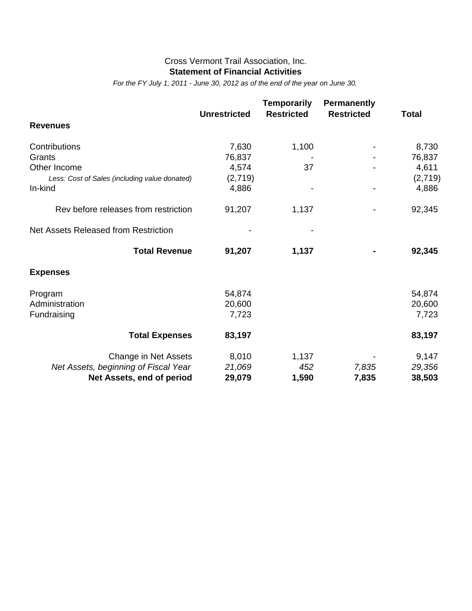#### **Statement of Financial Activities** Cross Vermont Trail Association, Inc.

*For the FY July 1, 2011 - June 30, 2012 as of the end of the year on June 30.*

|                                               |                     | <b>Temporarily</b> | <b>Permanently</b> |              |
|-----------------------------------------------|---------------------|--------------------|--------------------|--------------|
| <b>Revenues</b>                               | <b>Unrestricted</b> | <b>Restricted</b>  | <b>Restricted</b>  | <b>Total</b> |
| Contributions                                 | 7,630               | 1,100              |                    | 8,730        |
| Grants                                        | 76,837              |                    |                    | 76,837       |
| Other Income                                  | 4,574               | 37                 |                    | 4,611        |
| Less: Cost of Sales (including value donated) | (2,719)             |                    |                    | (2,719)      |
| In-kind                                       | 4,886               |                    |                    | 4,886        |
| Rev before releases from restriction          | 91,207              | 1,137              |                    | 92,345       |
| Net Assets Released from Restriction          |                     |                    |                    |              |
| <b>Total Revenue</b>                          | 91,207              | 1,137              |                    | 92,345       |
| <b>Expenses</b>                               |                     |                    |                    |              |
| Program                                       | 54,874              |                    |                    | 54,874       |
| Administration                                | 20,600              |                    |                    | 20,600       |
| Fundraising                                   | 7,723               |                    |                    | 7,723        |
| <b>Total Expenses</b>                         | 83,197              |                    |                    | 83,197       |
| Change in Net Assets                          | 8,010               | 1,137              |                    | 9,147        |
| Net Assets, beginning of Fiscal Year          | 21,069              | 452                | 7,835              | 29,356       |
| Net Assets, end of period                     | 29,079              | 1,590              | 7,835              | 38,503       |